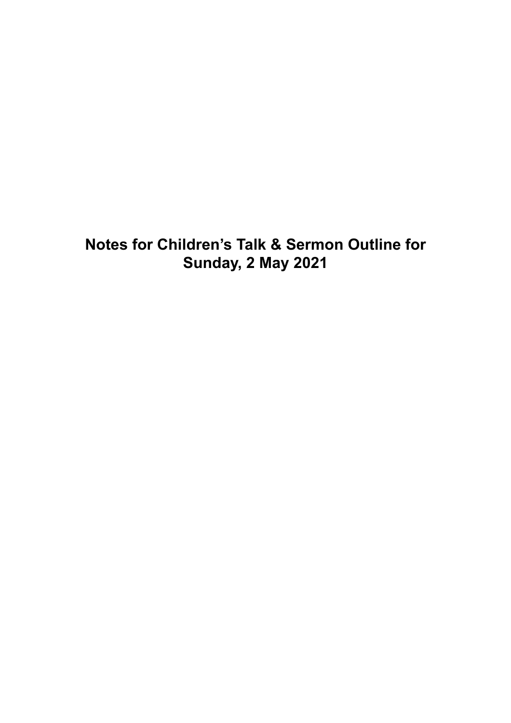# **Notes for Children's Talk & Sermon Outline for Sunday, 2 May 2021**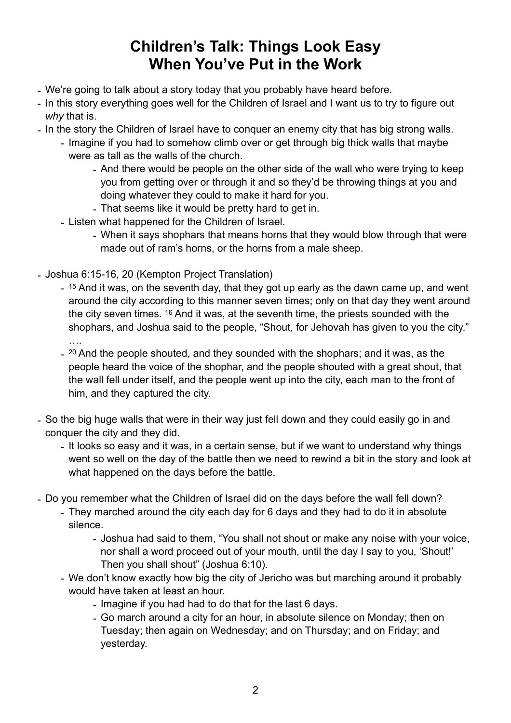## **Children's Talk: Things Look Easy When You've Put in the Work**

- We're going to talk about a story today that you probably have heard before.
- In this story everything goes well for the Children of Israel and I want us to try to figure out *why* that is.
- In the story the Children of Israel have to conquer an enemy city that has big strong walls.
	- Imagine if you had to somehow climb over or get through big thick walls that maybe were as tall as the walls of the church.
		- And there would be people on the other side of the wall who were trying to keep you from getting over or through it and so they'd be throwing things at you and doing whatever they could to make it hard for you.
		- That seems like it would be pretty hard to get in.
	- Listen what happened for the Children of Israel.
		- When it says shophars that means horns that they would blow through that were made out of ram's horns, or the horns from a male sheep.
- Joshua 6:15-16, 20 (Kempton Project Translation)
	- <sup>15</sup> And it was, on the seventh day, that they got up early as the dawn came up, and went around the city according to this manner seven times; only on that day they went around the city seven times. 16 And it was, at the seventh time, the priests sounded with the shophars, and Joshua said to the people, "Shout, for Jehovah has given to you the city." ….
	- <sup>20</sup> And the people shouted, and they sounded with the shophars; and it was, as the people heard the voice of the shophar, and the people shouted with a great shout, that the wall fell under itself, and the people went up into the city, each man to the front of him, and they captured the city.
- So the big huge walls that were in their way just fell down and they could easily go in and conquer the city and they did.
	- It looks so easy and it was, in a certain sense, but if we want to understand why things went so well on the day of the battle then we need to rewind a bit in the story and look at what happened on the days before the battle.
- Do you remember what the Children of Israel did on the days before the wall fell down?
	- They marched around the city each day for 6 days and they had to do it in absolute silence.
		- Joshua had said to them, "You shall not shout or make any noise with your voice, nor shall a word proceed out of your mouth, until the day I say to you, 'Shout!' Then you shall shout" (Joshua 6:10).
	- We don't know exactly how big the city of Jericho was but marching around it probably would have taken at least an hour.
		- Imagine if you had had to do that for the last 6 days.
		- Go march around a city for an hour, in absolute silence on Monday; then on Tuesday; then again on Wednesday; and on Thursday; and on Friday; and yesterday.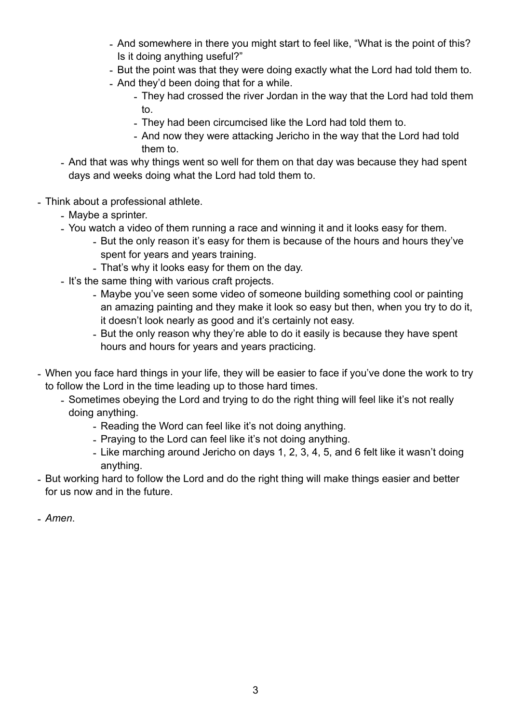- And somewhere in there you might start to feel like, "What is the point of this? Is it doing anything useful?"
- But the point was that they were doing exactly what the Lord had told them to.
- And they'd been doing that for a while.
	- They had crossed the river Jordan in the way that the Lord had told them to.
	- They had been circumcised like the Lord had told them to.
	- And now they were attacking Jericho in the way that the Lord had told them to.
- And that was why things went so well for them on that day was because they had spent days and weeks doing what the Lord had told them to.
- Think about a professional athlete.
	- Maybe a sprinter.
	- You watch a video of them running a race and winning it and it looks easy for them.
		- But the only reason it's easy for them is because of the hours and hours they've spent for years and years training.
		- That's why it looks easy for them on the day.
	- It's the same thing with various craft projects.
		- Maybe you've seen some video of someone building something cool or painting an amazing painting and they make it look so easy but then, when you try to do it, it doesn't look nearly as good and it's certainly not easy.
		- But the only reason why they're able to do it easily is because they have spent hours and hours for years and years practicing.
- When you face hard things in your life, they will be easier to face if you've done the work to try to follow the Lord in the time leading up to those hard times.
	- Sometimes obeying the Lord and trying to do the right thing will feel like it's not really doing anything.
		- Reading the Word can feel like it's not doing anything.
		- Praying to the Lord can feel like it's not doing anything.
		- Like marching around Jericho on days 1, 2, 3, 4, 5, and 6 felt like it wasn't doing anything.
- But working hard to follow the Lord and do the right thing will make things easier and better for us now and in the future.
- *Amen*.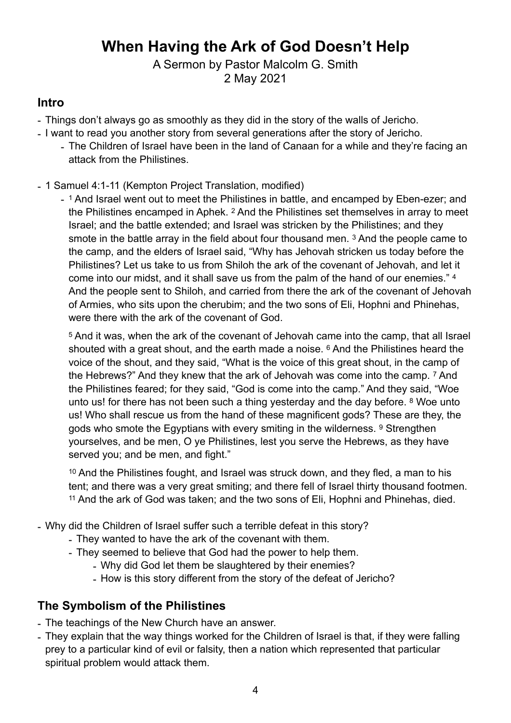## **When Having the Ark of God Doesn't Help**

A Sermon by Pastor Malcolm G. Smith 2 May 2021

#### **Intro**

- Things don't always go as smoothly as they did in the story of the walls of Jericho.
- I want to read you another story from several generations after the story of Jericho.
	- The Children of Israel have been in the land of Canaan for a while and they're facing an attack from the Philistines.
- 1 Samuel 4:1-11 (Kempton Project Translation, modified)
	- 1 And Israel went out to meet the Philistines in battle, and encamped by Eben-ezer; and the Philistines encamped in Aphek. 2 And the Philistines set themselves in array to meet Israel; and the battle extended; and Israel was stricken by the Philistines; and they smote in the battle array in the field about four thousand men. 3 And the people came to the camp, and the elders of Israel said, "Why has Jehovah stricken us today before the Philistines? Let us take to us from Shiloh the ark of the covenant of Jehovah, and let it come into our midst, and it shall save us from the palm of the hand of our enemies." 4 And the people sent to Shiloh, and carried from there the ark of the covenant of Jehovah of Armies, who sits upon the cherubim; and the two sons of Eli, Hophni and Phinehas, were there with the ark of the covenant of God.

5 And it was, when the ark of the covenant of Jehovah came into the camp, that all Israel shouted with a great shout, and the earth made a noise. <sup>6</sup> And the Philistines heard the voice of the shout, and they said, "What is the voice of this great shout, in the camp of the Hebrews?" And they knew that the ark of Jehovah was come into the camp. 7 And the Philistines feared; for they said, "God is come into the camp." And they said, "Woe unto us! for there has not been such a thing yesterday and the day before. <sup>8</sup> Woe unto us! Who shall rescue us from the hand of these magnificent gods? These are they, the gods who smote the Egyptians with every smiting in the wilderness. <sup>9</sup> Strenathen yourselves, and be men, O ye Philistines, lest you serve the Hebrews, as they have served you; and be men, and fight."

10 And the Philistines fought, and Israel was struck down, and they fled, a man to his tent; and there was a very great smiting; and there fell of Israel thirty thousand footmen. 11 And the ark of God was taken; and the two sons of Eli, Hophni and Phinehas, died.

- Why did the Children of Israel suffer such a terrible defeat in this story?

- They wanted to have the ark of the covenant with them.
- They seemed to believe that God had the power to help them.
	- Why did God let them be slaughtered by their enemies?
		- How is this story different from the story of the defeat of Jericho?

### **The Symbolism of the Philistines**

- The teachings of the New Church have an answer.

- They explain that the way things worked for the Children of Israel is that, if they were falling prey to a particular kind of evil or falsity, then a nation which represented that particular spiritual problem would attack them.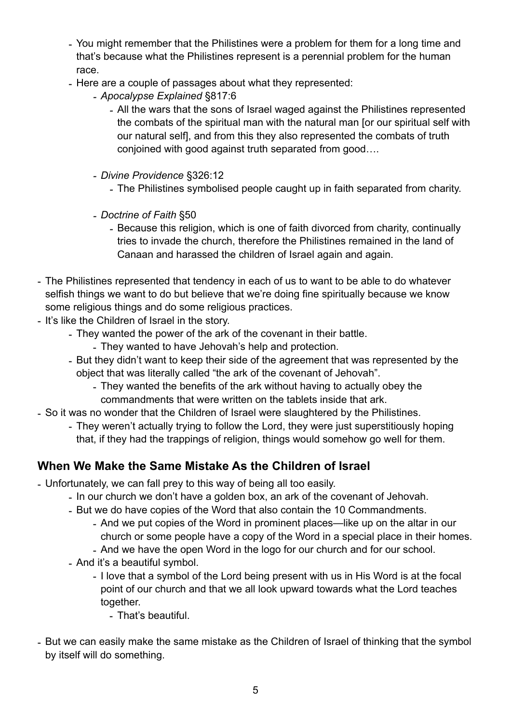- You might remember that the Philistines were a problem for them for a long time and that's because what the Philistines represent is a perennial problem for the human race.
- Here are a couple of passages about what they represented:
	- *- Apocalypse Explained* §817:6
		- *-* All the wars that the sons of Israel waged against the Philistines represented the combats of the spiritual man with the natural man [or our spiritual self with our natural self], and from this they also represented the combats of truth conjoined with good against truth separated from good….
	- *- Divine Providence* §326:12
		- *-* The Philistines symbolised people caught up in faith separated from charity.
	- *- Doctrine of Faith* §50
		- *-* Because this religion, which is one of faith divorced from charity, continually tries to invade the church, therefore the Philistines remained in the land of Canaan and harassed the children of Israel again and again.
- The Philistines represented that tendency in each of us to want to be able to do whatever selfish things we want to do but believe that we're doing fine spiritually because we know some religious things and do some religious practices.
- It's like the Children of Israel in the story.
	- They wanted the power of the ark of the covenant in their battle.
		- They wanted to have Jehovah's help and protection.
	- But they didn't want to keep their side of the agreement that was represented by the object that was literally called "the ark of the covenant of Jehovah".
		- They wanted the benefits of the ark without having to actually obey the commandments that were written on the tablets inside that ark.
- So it was no wonder that the Children of Israel were slaughtered by the Philistines.
	- They weren't actually trying to follow the Lord, they were just superstitiously hoping that, if they had the trappings of religion, things would somehow go well for them.

### **When We Make the Same Mistake As the Children of Israel**

- Unfortunately, we can fall prey to this way of being all too easily.
	- In our church we don't have a golden box, an ark of the covenant of Jehovah.
	- But we do have copies of the Word that also contain the 10 Commandments.
		- And we put copies of the Word in prominent places—like up on the altar in our church or some people have a copy of the Word in a special place in their homes.
			- And we have the open Word in the logo for our church and for our school.
	- And it's a beautiful symbol.
		- I love that a symbol of the Lord being present with us in His Word is at the focal point of our church and that we all look upward towards what the Lord teaches together.
			- That's beautiful.
- But we can easily make the same mistake as the Children of Israel of thinking that the symbol by itself will do something.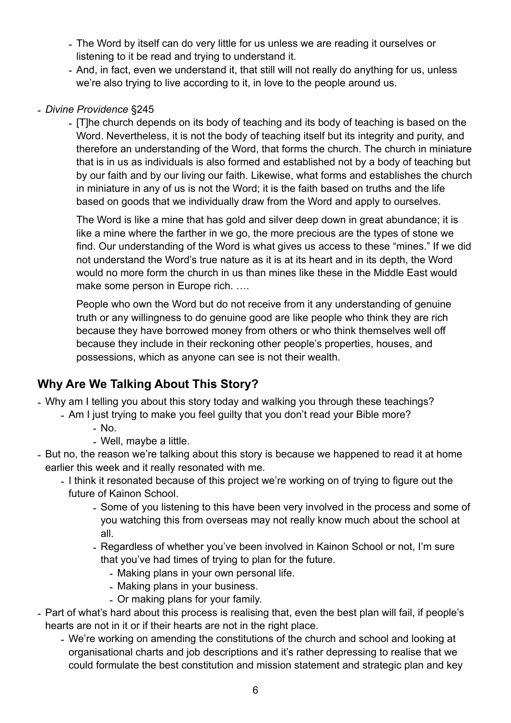- The Word by itself can do very little for us unless we are reading it ourselves or listening to it be read and trying to understand it.
- And, in fact, even we understand it, that still will not really do anything for us, unless we're also trying to live according to it, in love to the people around us.

#### - *Divine Providence* §245

- [T]he church depends on its body of teaching and its body of teaching is based on the Word. Nevertheless, it is not the body of teaching itself but its integrity and purity, and therefore an understanding of the Word, that forms the church. The church in miniature that is in us as individuals is also formed and established not by a body of teaching but by our faith and by our living our faith. Likewise, what forms and establishes the church in miniature in any of us is not the Word; it is the faith based on truths and the life based on goods that we individually draw from the Word and apply to ourselves.

The Word is like a mine that has gold and silver deep down in great abundance; it is like a mine where the farther in we go, the more precious are the types of stone we find. Our understanding of the Word is what gives us access to these "mines." If we did not understand the Word's true nature as it is at its heart and in its depth, the Word would no more form the church in us than mines like these in the Middle East would make some person in Europe rich. ….

People who own the Word but do not receive from it any understanding of genuine truth or any willingness to do genuine good are like people who think they are rich because they have borrowed money from others or who think themselves well off because they include in their reckoning other people's properties, houses, and possessions, which as anyone can see is not their wealth.

### **Why Are We Talking About This Story?**

- Why am I telling you about this story today and walking you through these teachings?

- Am I just trying to make you feel guilty that you don't read your Bible more?
	- No.
	- Well, maybe a little.
- But no, the reason we're talking about this story is because we happened to read it at home earlier this week and it really resonated with me.
	- I think it resonated because of this project we're working on of trying to figure out the
		- future of Kainon School.
			- Some of you listening to this have been very involved in the process and some of you watching this from overseas may not really know much about the school at all.
			- Regardless of whether you've been involved in Kainon School or not, I'm sure that you've had times of trying to plan for the future.
				- Making plans in your own personal life.
				- Making plans in your business.
				- Or making plans for your family.
- Part of what's hard about this process is realising that, even the best plan will fail, if people's hearts are not in it or if their hearts are not in the right place.
	- We're working on amending the constitutions of the church and school and looking at organisational charts and job descriptions and it's rather depressing to realise that we could formulate the best constitution and mission statement and strategic plan and key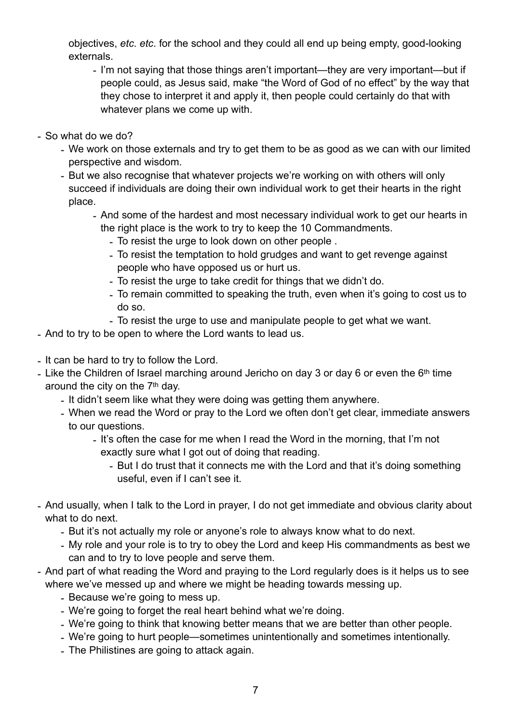objectives, *etc*. *etc*. for the school and they could all end up being empty, good-looking externals.

- I'm not saying that those things aren't important—they are very important—but if people could, as Jesus said, make "the Word of God of no effect" by the way that they chose to interpret it and apply it, then people could certainly do that with whatever plans we come up with.
- So what do we do?
	- We work on those externals and try to get them to be as good as we can with our limited perspective and wisdom.
	- But we also recognise that whatever projects we're working on with others will only succeed if individuals are doing their own individual work to get their hearts in the right place.
		- And some of the hardest and most necessary individual work to get our hearts in the right place is the work to try to keep the 10 Commandments.
			- To resist the urge to look down on other people .
			- To resist the temptation to hold grudges and want to get revenge against people who have opposed us or hurt us.
			- To resist the urge to take credit for things that we didn't do.
			- To remain committed to speaking the truth, even when it's going to cost us to do so.
			- To resist the urge to use and manipulate people to get what we want.
- And to try to be open to where the Lord wants to lead us.
- It can be hard to try to follow the Lord.
- Like the Children of Israel marching around Jericho on day 3 or day 6 or even the  $6<sup>th</sup>$  time around the city on the 7th day.
	- It didn't seem like what they were doing was getting them anywhere.
	- When we read the Word or pray to the Lord we often don't get clear, immediate answers to our questions.
		- It's often the case for me when I read the Word in the morning, that I'm not exactly sure what I got out of doing that reading.
			- But I do trust that it connects me with the Lord and that it's doing something useful, even if I can't see it.
- And usually, when I talk to the Lord in prayer, I do not get immediate and obvious clarity about what to do next.
	- But it's not actually my role or anyone's role to always know what to do next.
	- My role and your role is to try to obey the Lord and keep His commandments as best we can and to try to love people and serve them.
- And part of what reading the Word and praying to the Lord regularly does is it helps us to see where we've messed up and where we might be heading towards messing up.
	- Because we're going to mess up.
	- We're going to forget the real heart behind what we're doing.
	- We're going to think that knowing better means that we are better than other people.
	- We're going to hurt people—sometimes unintentionally and sometimes intentionally.
	- The Philistines are going to attack again.